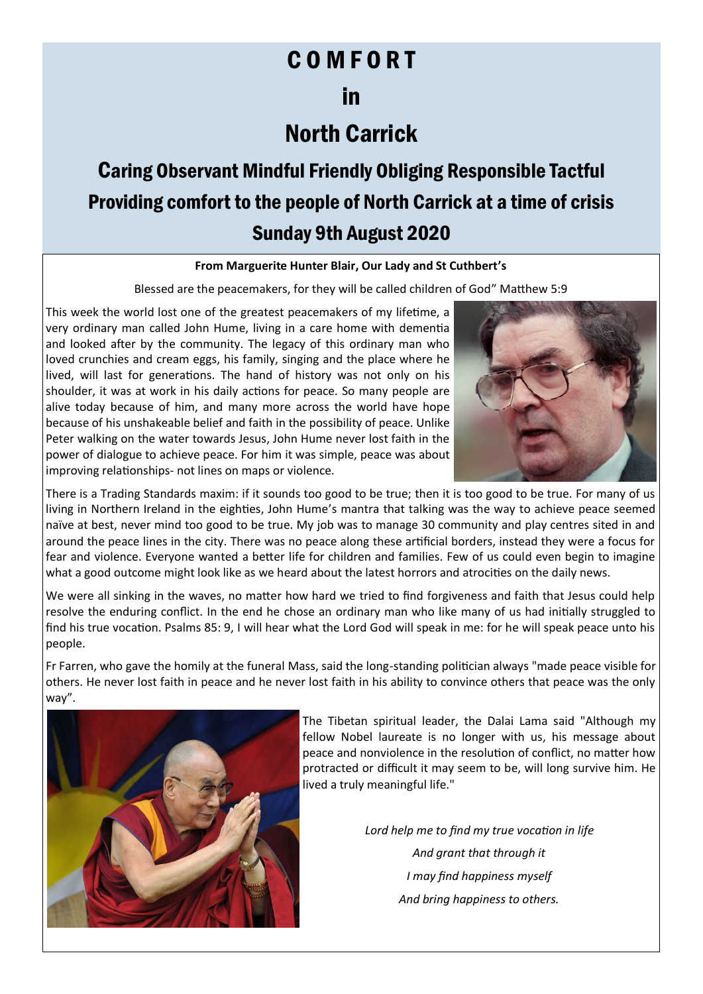### C O M F O R T

### in

## North Carrick

# Caring Observant Mindful Friendly Obliging Responsible Tactful Providing comfort to the people of North Carrick at a time of crisis Sunday 9th August 2020

#### **From Marguerite Hunter Blair, Our Lady and St Cuthbert's**

Blessed are the peacemakers, for they will be called children of God" Matthew 5:9

This week the world lost one of the greatest peacemakers of my lifetime, a very ordinary man called John Hume, living in a care home with dementia and looked after by the community. The legacy of this ordinary man who loved crunchies and cream eggs, his family, singing and the place where he lived, will last for generations. The hand of history was not only on his shoulder, it was at work in his daily actions for peace. So many people are alive today because of him, and many more across the world have hope because of his unshakeable belief and faith in the possibility of peace. Unlike Peter walking on the water towards Jesus, John Hume never lost faith in the power of dialogue to achieve peace. For him it was simple, peace was about improving relationships- not lines on maps or violence.



There is a Trading Standards maxim: if it sounds too good to be true; then it is too good to be true. For many of us living in Northern Ireland in the eighties, John Hume's mantra that talking was the way to achieve peace seemed naïve at best, never mind too good to be true. My job was to manage 30 community and play centres sited in and around the peace lines in the city. There was no peace along these artificial borders, instead they were a focus for fear and violence. Everyone wanted a better life for children and families. Few of us could even begin to imagine what a good outcome might look like as we heard about the latest horrors and atrocities on the daily news.

We were all sinking in the waves, no matter how hard we tried to find forgiveness and faith that Jesus could help resolve the enduring conflict. In the end he chose an ordinary man who like many of us had initially struggled to find his true vocation. Psalms 85: 9, I will hear what the Lord God will speak in me: for he will speak peace unto his people.

Fr Farren, who gave the homily at the funeral Mass, said the long-standing politician always "made peace visible for others. He never lost faith in peace and he never lost faith in his ability to convince others that peace was the only way".



The Tibetan spiritual leader, the Dalai Lama said "Although my fellow Nobel laureate is no longer with us, his message about peace and nonviolence in the resolution of conflict, no matter how protracted or difficult it may seem to be, will long survive him. He lived a truly meaningful life."

> *Lord help me to find my true vocation in life And grant that through it I may find happiness myself And bring happiness to others.*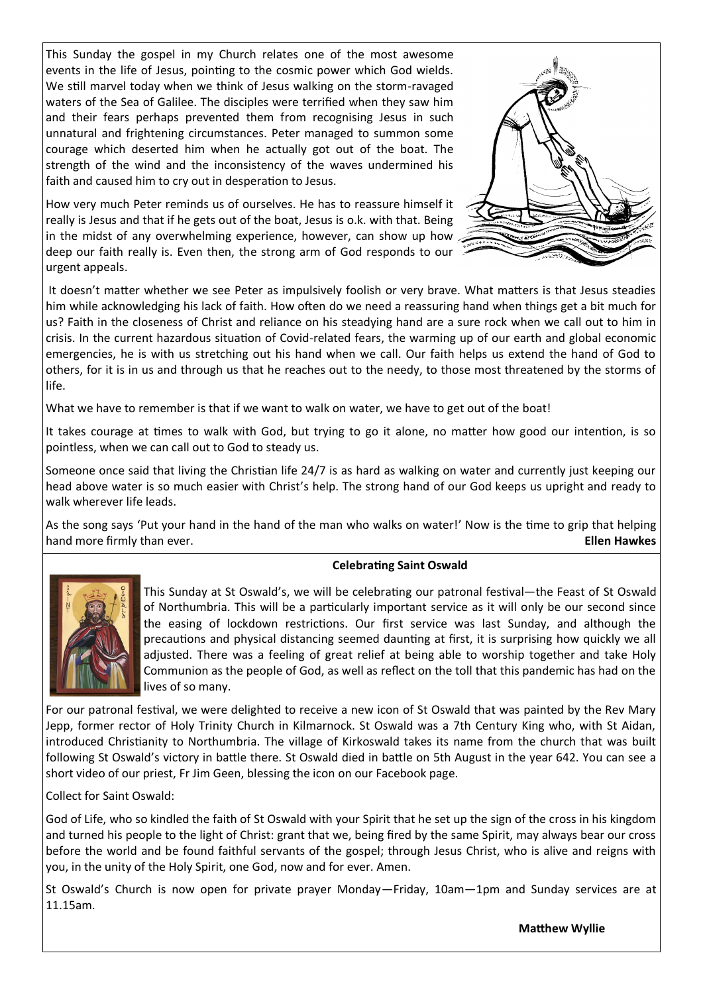This Sunday the gospel in my Church relates one of the most awesome events in the life of Jesus, pointing to the cosmic power which God wields. We still marvel today when we think of Jesus walking on the storm-ravaged waters of the Sea of Galilee. The disciples were terrified when they saw him and their fears perhaps prevented them from recognising Jesus in such unnatural and frightening circumstances. Peter managed to summon some courage which deserted him when he actually got out of the boat. The strength of the wind and the inconsistency of the waves undermined his faith and caused him to cry out in desperation to Jesus.

How very much Peter reminds us of ourselves. He has to reassure himself it really is Jesus and that if he gets out of the boat, Jesus is o.k. with that. Being in the midst of any overwhelming experience, however, can show up how deep our faith really is. Even then, the strong arm of God responds to our urgent appeals.



It doesn't matter whether we see Peter as impulsively foolish or very brave. What matters is that Jesus steadies him while acknowledging his lack of faith. How often do we need a reassuring hand when things get a bit much for us? Faith in the closeness of Christ and reliance on his steadying hand are a sure rock when we call out to him in crisis. In the current hazardous situation of Covid-related fears, the warming up of our earth and global economic emergencies, he is with us stretching out his hand when we call. Our faith helps us extend the hand of God to others, for it is in us and through us that he reaches out to the needy, to those most threatened by the storms of life.

What we have to remember is that if we want to walk on water, we have to get out of the boat!

It takes courage at times to walk with God, but trying to go it alone, no matter how good our intention, is so pointless, when we can call out to God to steady us.

Someone once said that living the Christian life 24/7 is as hard as walking on water and currently just keeping our head above water is so much easier with Christ's help. The strong hand of our God keeps us upright and ready to walk wherever life leads.

As the song says 'Put your hand in the hand of the man who walks on water!' Now is the time to grip that helping hand more firmly than ever. **Ellen Hawkes**

#### **Celebrating Saint Oswald**



This Sunday at St Oswald's, we will be celebrating our patronal festival—the Feast of St Oswald of Northumbria. This will be a particularly important service as it will only be our second since the easing of lockdown restrictions. Our first service was last Sunday, and although the precautions and physical distancing seemed daunting at first, it is surprising how quickly we all adjusted. There was a feeling of great relief at being able to worship together and take Holy Communion as the people of God, as well as reflect on the toll that this pandemic has had on the lives of so many.

For our patronal festival, we were delighted to receive a new icon of St Oswald that was painted by the Rev Mary Jepp, former rector of Holy Trinity Church in Kilmarnock. St Oswald was a 7th Century King who, with St Aidan, introduced Christianity to Northumbria. The village of Kirkoswald takes its name from the church that was built following St Oswald's victory in battle there. St Oswald died in battle on 5th August in the year 642. You can see a short video of our priest, Fr Jim Geen, blessing the icon on our Facebook page.

Collect for Saint Oswald:

God of Life, who so kindled the faith of St Oswald with your Spirit that he set up the sign of the cross in his kingdom and turned his people to the light of Christ: grant that we, being fired by the same Spirit, may always bear our cross before the world and be found faithful servants of the gospel; through Jesus Christ, who is alive and reigns with you, in the unity of the Holy Spirit, one God, now and for ever. Amen.

St Oswald's Church is now open for private prayer Monday—Friday, 10am—1pm and Sunday services are at 11.15am.

**Matthew Wyllie**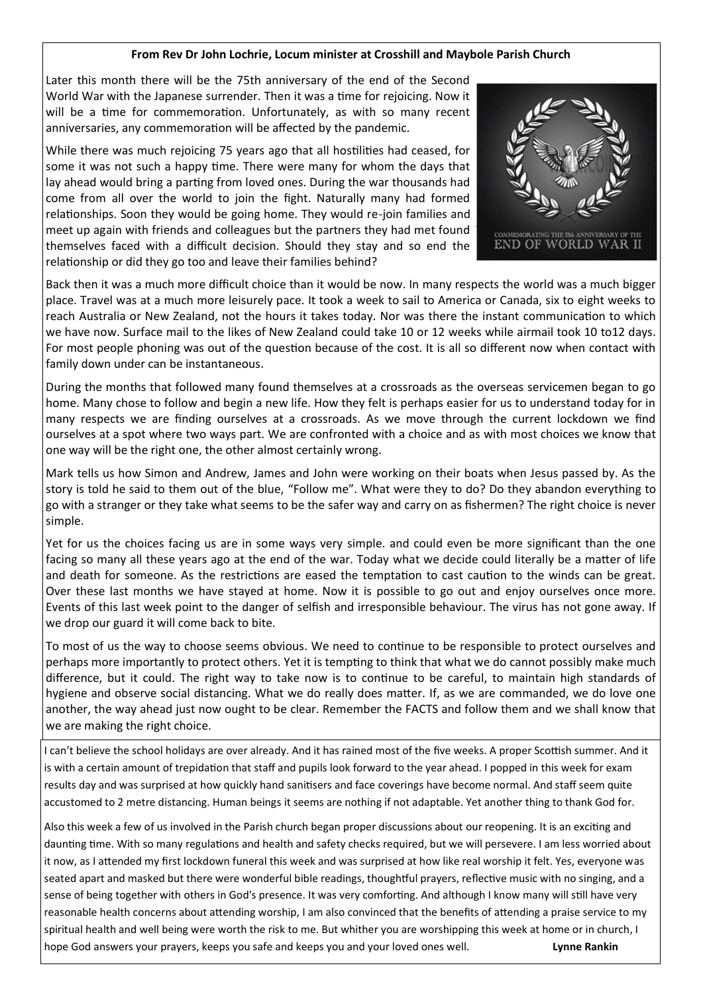#### **From Rev Dr John Lochrie, Locum minister at Crosshill and Maybole Parish Church**

Later this month there will be the 75th anniversary of the end of the Second World War with the Japanese surrender. Then it was a time for rejoicing. Now it will be a time for commemoration. Unfortunately, as with so many recent anniversaries, any commemoration will be affected by the pandemic.

While there was much rejoicing 75 years ago that all hostilities had ceased, for some it was not such a happy time. There were many for whom the days that lay ahead would bring a parting from loved ones. During the war thousands had come from all over the world to join the fight. Naturally many had formed relationships. Soon they would be going home. They would re-join families and meet up again with friends and colleagues but the partners they had met found themselves faced with a difficult decision. Should they stay and so end the relationship or did they go too and leave their families behind?



Back then it was a much more difficult choice than it would be now. In many respects the world was a much bigger place. Travel was at a much more leisurely pace. It took a week to sail to America or Canada, six to eight weeks to reach Australia or New Zealand, not the hours it takes today. Nor was there the instant communication to which we have now. Surface mail to the likes of New Zealand could take 10 or 12 weeks while airmail took 10 to12 days. For most people phoning was out of the question because of the cost. It is all so different now when contact with family down under can be instantaneous.

During the months that followed many found themselves at a crossroads as the overseas servicemen began to go home. Many chose to follow and begin a new life. How they felt is perhaps easier for us to understand today for in many respects we are finding ourselves at a crossroads. As we move through the current lockdown we find ourselves at a spot where two ways part. We are confronted with a choice and as with most choices we know that one way will be the right one, the other almost certainly wrong.

Mark tells us how Simon and Andrew, James and John were working on their boats when Jesus passed by. As the story is told he said to them out of the blue, "Follow me". What were they to do? Do they abandon everything to go with a stranger or they take what seems to be the safer way and carry on as fishermen? The right choice is never simple.

Yet for us the choices facing us are in some ways very simple. and could even be more significant than the one facing so many all these years ago at the end of the war. Today what we decide could literally be a matter of life and death for someone. As the restrictions are eased the temptation to cast caution to the winds can be great. Over these last months we have stayed at home. Now it is possible to go out and enjoy ourselves once more. Events of this last week point to the danger of selfish and irresponsible behaviour. The virus has not gone away. If we drop our guard it will come back to bite.

To most of us the way to choose seems obvious. We need to continue to be responsible to protect ourselves and perhaps more importantly to protect others. Yet it is tempting to think that what we do cannot possibly make much difference, but it could. The right way to take now is to continue to be careful, to maintain high standards of hygiene and observe social distancing. What we do really does matter. If, as we are commanded, we do love one another, the way ahead just now ought to be clear. Remember the FACTS and follow them and we shall know that we are making the right choice.

I can't believe the school holidays are over already. And it has rained most of the five weeks. A proper Scottish summer. And it is with a certain amount of trepidation that staff and pupils look forward to the year ahead. I popped in this week for exam results day and was surprised at how quickly hand sanitisers and face coverings have become normal. And staff seem quite accustomed to 2 metre distancing. Human beings it seems are nothing if not adaptable. Yet another thing to thank God for.

Also this week a few of us involved in the Parish church began proper discussions about our reopening. It is an exciting and daunting time. With so many regulations and health and safety checks required, but we will persevere. I am less worried about it now, as I attended my first lockdown funeral this week and was surprised at how like real worship it felt. Yes, everyone was seated apart and masked but there were wonderful bible readings, thoughtful prayers, reflective music with no singing, and a sense of being together with others in God's presence. It was very comforting. And although I know many will still have very reasonable health concerns about attending worship, I am also convinced that the benefits of attending a praise service to my spiritual health and well being were worth the risk to me. But whither you are worshipping this week at home or in church, I hope God answers your prayers, keeps you safe and keeps you and your loved ones well. **Lynne Rankin**